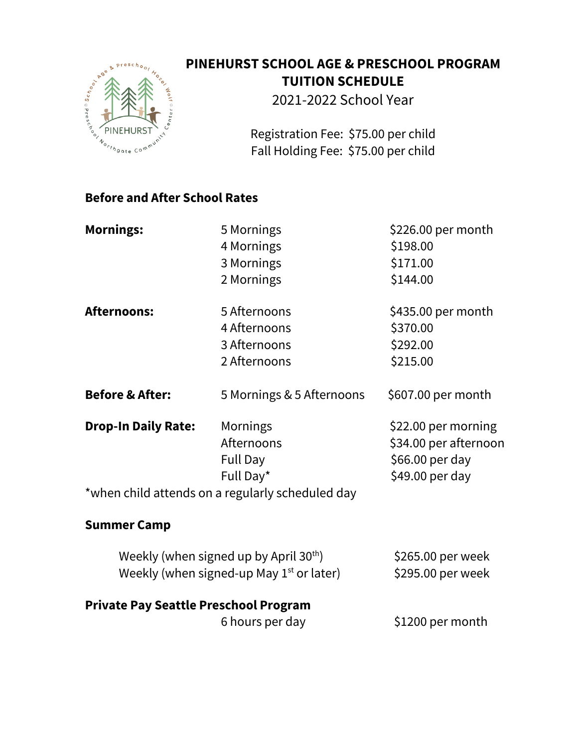

## **PINEHURST SCHOOL AGE & PRESCHOOL PROGRAM TUITION SCHEDULE**

2021-2022 School Year

Registration Fee: \$75.00 per child Fall Holding Fee: \$75.00 per child

## **Before and After School Rates**

| <b>Mornings:</b>                                   | 5 Mornings                                       | \$226.00 per month    |
|----------------------------------------------------|--------------------------------------------------|-----------------------|
|                                                    | 4 Mornings                                       | \$198.00              |
|                                                    | 3 Mornings                                       | \$171.00              |
|                                                    | 2 Mornings                                       | \$144.00              |
| <b>Afternoons:</b>                                 | 5 Afternoons                                     | \$435.00 per month    |
|                                                    | 4 Afternoons                                     | \$370.00              |
|                                                    | 3 Afternoons                                     | \$292.00              |
|                                                    | 2 Afternoons                                     | \$215.00              |
| <b>Before &amp; After:</b>                         | 5 Mornings & 5 Afternoons                        | \$607.00 per month    |
| <b>Drop-In Daily Rate:</b>                         | Mornings                                         | \$22.00 per morning   |
|                                                    | Afternoons                                       | \$34.00 per afternoon |
|                                                    | <b>Full Day</b>                                  | \$66.00 per day       |
|                                                    | Full Day*                                        | \$49.00 per day       |
|                                                    | *when child attends on a regularly scheduled day |                       |
| <b>Summer Camp</b>                                 |                                                  |                       |
| Weekly (when signed up by April 30 <sup>th</sup> ) |                                                  | \$265.00 per week     |
| Weekly (when signed-up May $1st$ or later)         |                                                  | \$295.00 per week     |
| <b>Private Pay Seattle Preschool Program</b>       |                                                  |                       |
|                                                    | 6 hours per day                                  | \$1200 per month      |